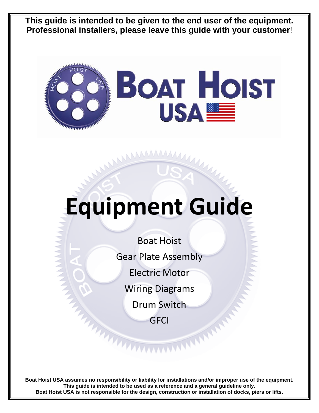**This guide is intended to be given to the end user of the equipment. Professional installers, please leave this guide with your customer**!



# **Equipment Guide**

Boat Hoist Gear Plate Assembly Electric Motor Wiring Diagrams Drum Switch

**GFCI** 

**Boat Hoist USA assumes no responsibility or liability for installations and/or improper use of the equipment. This guide is intended to be used as a reference and a general guideline only. Boat Hoist USA is not responsible for the design, construction or installation of docks, piers or lifts.**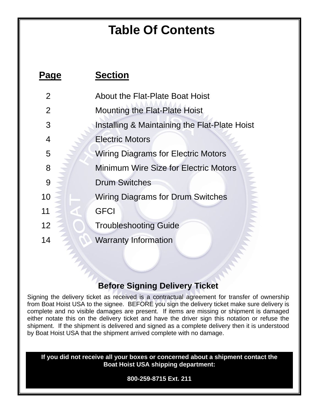# **Table Of Contents**

| Page           | <b>Section</b>                                |
|----------------|-----------------------------------------------|
| $\overline{2}$ | <b>About the Flat-Plate Boat Hoist</b>        |
| 2              | Mounting the Flat-Plate Hoist                 |
| 3              | Installing & Maintaining the Flat-Plate Hoist |
| 4              | <b>Electric Motors</b>                        |
| 5              | <b>Wiring Diagrams for Electric Motors</b>    |
| 8              | <b>Minimum Wire Size for Electric Motors</b>  |
| 9              | <b>Drum Switches</b>                          |
| 10             | <b>Wiring Diagrams for Drum Switches</b>      |
| 11             | <b>GFCI</b>                                   |
| 12             | <b>Troubleshooting Guide</b>                  |
| 14             | <b>Warranty Information</b>                   |

# **Before Signing Delivery Ticket**

Signing the delivery ticket as received is a contractual agreement for transfer of ownership from Boat Hoist USA to the signee. BEFORE you sign the delivery ticket make sure delivery is complete and no visible damages are present. If items are missing or shipment is damaged either notate this on the delivery ticket and have the driver sign this notation or refuse the shipment. If the shipment is delivered and signed as a complete delivery then it is understood by Boat Hoist USA that the shipment arrived complete with no damage.

**If you did not receive all your boxes or concerned about a shipment contact the Boat Hoist USA shipping department:** 

**800-259-8715 Ext. 211**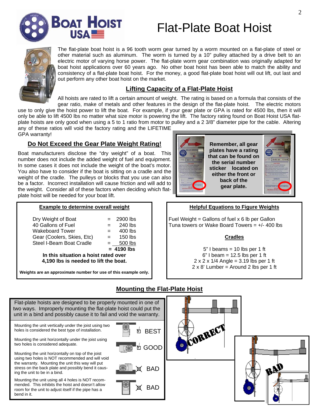

# Flat-Plate Boat Hoist



The flat-plate boat hoist is a 96 tooth worm gear turned by a worm mounted on a flat-plate of steel or other material such as aluminum. The worm is turned by a 10" pulley attached by a drive belt to an electric motor of varying horse power. The flat-plate worm gear combination was originally adapted for boat hoist applications over 60 years ago. No other boat hoist has been able to match the ability and consistency of a flat-plate boat hoist. For the money, a good flat-plate boat hoist will out lift, out last and out perform any other boat hoist on the market.

### **Lifting Capacity of a Flat-Plate Hoist**

All hoists are rated to lift a certain amount of weight. The rating is based on a formula that consists of the gear ratio, make of metals and other features in the design of the flat-plate hoist. The electric motors use to only give the hoist power to lift the boat. For example, if your gear plate or GPA is rated for 4500 lbs, then it will only be able to lift 4500 lbs no matter what size motor is powering the lift. The factory rating found on Boat Hoist USA flatplate hoists are only good when using a 5 to 1 ratio from motor to pulley and a 2 3/8" diameter pipe for the cable. Altering

any of these ratios will void the factory rating and the LIFETIME GPA warranty!

# **Do Not Exceed the Gear Plate Weight Rating!**

Boat manufacturers disclose the "dry weight" of a boat. This number does not include the added weight of fuel and equipment. In some cases it does not include the weight of the boat's motor. You also have to consider if the boat is sitting on a cradle and the weight of the cradle. The pulleys or blocks that you use can also be a factor. Incorrect installation will cause friction and will add to the weight. Consider all of these factors when deciding which flatplate hoist will be needed for your boat lift.

# **Example to determine overall weight**

| Dry Weight of Boat                   | $=$ | 2900 lbs     |  |  |  |  |
|--------------------------------------|-----|--------------|--|--|--|--|
| 40 Gallons of Fuel                   |     | 240 lbs      |  |  |  |  |
| Wakeboard Tower                      | $=$ | 400 lbs      |  |  |  |  |
| Gear (Coolers, Skies, Etc)           | $=$ | $150$ lbs    |  |  |  |  |
| Steel I-Beam Boat Cradle             |     | 500 lbs      |  |  |  |  |
|                                      |     | $= 4190$ lbs |  |  |  |  |
| In this situation a hoist rated over |     |              |  |  |  |  |
|                                      |     |              |  |  |  |  |

**4,190 lbs is needed to lift the boat.** 

**Weights are an approximate number for use of this example only.** 



**Remember, all gear plates have a rating that can be found on the serial number sticker located on either the front or back of the gear plate.** 



### **Helpful Equations to Figure Weights**

Fuel Weight = Gallons of fuel  $x$  6 lb per Gallon Tuna towers or Wake Board Towers =  $+/- 400$  lbs

### **Cradles**

 $5"$  I beams = 10 lbs per 1 ft  $6"$  I beam = 12.5 lbs per 1 ft 2 x 2 x 1/4 Angle = 3.19 lbs per 1 ft  $2 \times 8'$  Lumber = Around 2 lbs per 1 ft

Flat-plate hoists are designed to be properly mounted in one of two ways. Improperly mounting the flat-plate hoist could put the unit in a bind and possibly cause it to fail and void the warranty. Mounting the unit horizontally under the joist using two holes is considered adequate. Mounting the unit vertically under the joist using two holes is considered the best type of installation. Mounting the unit horizontally on top of the joist using two holes is NOT recommended and will void the warranty. Mounting the unit this way will put stress on the back plate and possibly bend it causing the unit to be in a bind. Mounting the unit using all 4 holes is NOT recommended. This inhibits the hoist and doesn't allow room for the unit to adjust itself if the pipe has a bend in it. **√** GOOD BAD BAD **√** BEST **CORREC** 

# **Mounting the Flat-Plate Hoist**

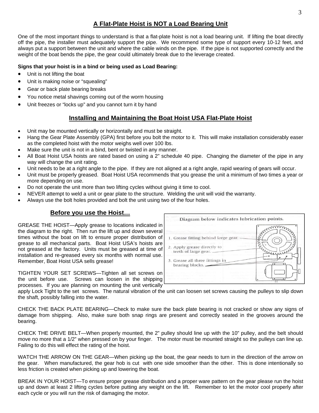# **A Flat-Plate Hoist is NOT a Load Bearing Unit**

One of the most important things to understand is that a flat-plate hoist is not a load bearing unit. If lifting the boat directly off the pipe, the installer must adequately support the pipe. We recommend some type of support every 10-12 feet, and always put a support between the unit and where the cable winds on the pipe. If the pipe is not supported correctly and the weight of the boat bends the pipe, the gear could ultimately break due to the leverage created.

### **Signs that your hoist is in a bind or being used as Load Bearing:**

- Unit is not lifting the boat
- Unit is making noise or "squealing"
- Gear or back plate bearing breaks
- You notice metal shavings coming out of the worm housing
- Unit freezes or "locks up" and you cannot turn it by hand

### **Installing and Maintaining the Boat Hoist USA Flat-Plate Hoist**

- Unit may be mounted vertically or horizontally and must be straight.
- Hang the Gear Plate Assembly (GPA) first before you bolt the motor to it. This will make installation considerably easer as the completed hoist with the motor weighs well over 100 lbs.
- Make sure the unit is not in a bind, bent or twisted in any manner.
- All Boat Hoist USA hoists are rated based on using a 2" schedule 40 pipe. Changing the diameter of the pipe in any way will change the unit rating.
- Unit needs to be at a right angle to the pipe. If they are not aligned at a right angle, rapid wearing of gears will occur.
- Unit must be properly greased. Boat Hoist USA recommends that you grease the unit a minimum of two times a year or more depending on use.
- Do not operate the unit more than two lifting cycles without giving it time to cool.
- NEVER attempt to weld a unit or gear plate to the structure. Welding the unit will void the warranty.
- Always use the bolt holes provided and bolt the unit using two of the four holes.

### **Before you use the Hoist…**

GREASE THE HOIST—Apply grease to locations indicated in the diagram to the right. Then run the lift up and down several times without the boat on lift to ensure proper distribution of grease to all mechanical parts. Boat Hoist USA's hoists are not greased at the factory. Units must be greased at time of installation and re-greased every six months with normal use. Remember, Boat Hoist USA sells grease!

TIGHTEN YOUR SET SCREWS—Tighten all set screws on the unit before use. Screws can loosen in the shipping processes. If you are planning on mounting the unit vertically



apply Lock Tight to the set screws. The natural vibration of the unit can loosen set screws causing the pulleys to slip down the shaft, possibly falling into the water.

CHECK THE BACK PLATE BEARING—Check to make sure the back plate bearing is not cracked or show any signs of damage from shipping. Also, make sure both snap rings are present and correctly seated in the grooves around the bearing.

CHECK THE DRIVE BELT—When properly mounted, the 2" pulley should line up with the 10" pulley, and the belt should move no more that a 1/2" when pressed on by your finger. The motor must be mounted straight so the pulleys can line up. Failing to do this will effect the rating of the hoist.

WATCH THE ARROW ON THE GEAR—When picking up the boat, the gear needs to turn in the direction of the arrow on the gear. When manufactured, the gear hob is cut with one side smoother than the other. This is done intentionally so less friction is created when picking up and lowering the boat.

BREAK IN YOUR HOIST—To ensure proper grease distribution and a proper ware pattern on the gear please run the hoist up and down at least 2 lifting cycles before putting any weight on the lift. Remember to let the motor cool properly after each cycle or you will run the risk of damaging the motor.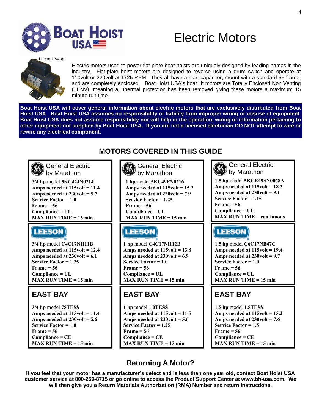

**MAX RUN TIME = 15 min** 

# Electric Motors

Leeson 3/4hp



Electric motors used to power flat-plate boat hoists are uniquely designed by leading names in the industry. Flat-plate hoist motors are designed to reverse using a drum switch and operate at 110volt or 220volt at 1725 RPM. They all have a start capacitor, mount with a standard 56 frame, and are completely enclosed. Boat Hoist USA's boat lift motors are Totally Enclosed Non Venting (TENV), meaning all thermal protection has been removed giving these motors a maximum 15 minute run time.

**Boat Hoist USA will cover general information about electric motors that are exclusively distributed from Boat Hoist USA. Boat Hoist USA assumes no responsibility or liability from improper wiring or misuse of equipment. Boat Hoist USA does not assume responsibility nor will help in the operation, wiring or information pertaining to other equipment not supplied by Boat Hoist USA. If you are not a licensed electrician DO NOT attempt to wire or rewire any electrical component.** 

# **MOTORS COVERED IN THIS GUIDE**

| <b>General Electric</b><br>by Marathon | <b>General Electric</b><br>by Marathon | <b>General Electric</b><br>J(6)<br>by Marathon |
|----------------------------------------|----------------------------------------|------------------------------------------------|
| 3/4 hp model 5KC42JN0214               | 1 hp model 5KC49PN0216                 | 1.5 hp model 5KCR49SN0068A                     |
| Amps needed at $115$ volt = $11.4$     | Amps needed at $115$ volt = 15.2       | Amps needed at $115$ volt = 18.2               |
| Amps needed at $230$ volt = 5.7        | Amps needed at $230$ volt = 7.9        | Amps needed at $230$ volt = 9.1                |
| Service Factor = $1.0$                 | Service Factor = $1.25$                | Service Factor $= 1.15$                        |
| $Frame = 56$                           | $Frame = 56$                           | $Frame = 56$                                   |
| $Compliance = UL$                      | $Compliance = UL$                      | $Compliance = UL$                              |
| $MAX$ RUN TIME = 15 min                | $MAX$ RUN TIME = 15 min                | <b>MAX RUN TIME = continuous</b>               |
| <b>LEESON</b>                          | <b>LEESON</b>                          | <b>LEESON</b>                                  |
| 3/4 hp model C4C17NH11B                | 1 hp model C4C17NH12B                  | 1.5 hp model C6C17NB47C                        |
| Amps needed at $115$ volt = $12.4$     | Amps needed at $115$ volt = 13.8       | Amps needed at 115volt = 19.4                  |
| Amps needed at $230$ volt = 6.1        | Amps needed at $230$ volt = 6.9        | Amps needed at $230$ volt = 9.7                |
| Service Factor = $1.25$                | Service Factor $= 1.0$                 | Service Factor = $1.0$                         |
| $Frame = 56$                           | $Frame = 56$                           | $Frame = 56$                                   |
| $Compliance = UL$                      | $Compliance = UL$                      | $Compliance = UL$                              |
| $MAX$ RUN TIME = 15 min                | $MAX$ RUN TIME = 15 min                | $MAX$ RUN TIME = 15 min                        |
| <b>EAST BAY</b>                        | <b>EAST BAY</b>                        | <b>EAST BAY</b>                                |
| 3/4 hp model 75TESS                    | 1 hp model 1.0TESS                     | 1.5 hp model 1.5TESS                           |
| Amps needed at $115$ volt = $11.4$     | Amps needed at $115$ volt = $11.5$     | Amps needed at $115$ volt = 15.2               |
| Amps needed at $230$ volt = 5.6        | Amps needed at $230$ volt = 5.6        | Amps needed at $230$ volt = 7.6                |
| Service Factor $= 1.0$                 | Service Factor = $1.25$                | Service Factor = $1.5$                         |
| $Frame = 56$                           | $Frame = 56$                           | $Frame = 56$                                   |
| $Compliance = CE$                      | $Compliance = CE$                      | $Compliance = CE$                              |

**MAX RUN TIME = 15 min** 

# **Returning A Motor?**

**MAX RUN TIME = 15 min** 

**If you feel that your motor has a manufacturer's defect and is less than one year old, contact Boat Hoist USA customer service at 800-259-8715 or go online to access the Product Support Center at www.bh-usa.com. We will then give you a Return Materials Authorization (RMA) Number and return instructions.**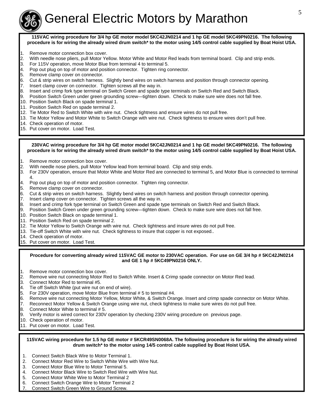

# General Electric Motors by Marathon

**115VAC wiring procedure for 3/4 hp GE motor model 5KC42JN0214 and 1 hp GE model 5KC49PN0216. The following procedure is for wiring the already wired drum switch\* to the motor using 14/5 control cable supplied by Boat Hoist USA.**

- 1. Remove motor connection box cover.
- 2. With needle nose pliers, pull Motor Yellow. Motor White and Motor Red leads from terminal board. Clip and strip ends.
- 3. For 115V operation, move Motor Blue from terminal 4 to terminal 5.
- 4. Pop out plug on top of motor and position connector. Tighten ring connector.
- 5. Remove clamp cover on connector.
- 6. Cut & strip wires on switch harness. Slightly bend wires on switch harness and position through connector opening.
- 7. Insert clamp cover on connector. Tighten screws all the way in.
- 8. Insert and crimp fork type terminal on Switch Green and spade type terminals on Switch Red and Switch Black.
- 9. Position Switch Green under green grounding screw—tighten down. Check to make sure wire does not fall free.
- 10. Position Switch Black on spade terminal 1.
- 11. Position Switch Red on spade terminal 2.
- 12. Tie Motor Red to Switch White with wire nut. Check tightness and ensure wires do not pull free.
- 13. Tie Motor Yellow and Motor White to Switch Orange with wire nut. Check tightness to ensure wires don't pull free.
- 14. Check operation of motor.
- 15. Put cover on motor. Load Test.

#### **230VAC wiring procedure for 3/4 hp GE motor model 5KC42JN0214 and 1 hp GE model 5KC49PN0216. The following procedure is for wiring the already wired drum switch\* to the motor using 14/5 control cable supplied by Boat Hoist USA.**

- 1. Remove motor connection box cover.
- 2. With needle nose pliers, pull Motor Yellow lead from terminal board. Clip and strip ends.
- 3. For 230V operation, ensure that Motor White and Motor Red are connected to terminal 5, and Motor Blue is connected to terminal 4.
- 4. Pop out plug on top of motor and position connector. Tighten ring connector.
- 5. Remove clamp cover on connector.
- 6. Cut & strip wires on switch harness. Slightly bend wires on switch harness and position through connector opening.
- 7. Insert clamp cover on connector. Tighten screws all the way in.
- 8. Insert and crimp fork type terminal on Switch Green and spade type terminals on Switch Red and Switch Black.
- 9. Position Switch Green under green grounding screw—tighten down. Check to make sure wire does not fall free.
- 10. Position Switch Black on spade terminal 1.
- 11. Position Switch Red on spade terminal 2.
- 12. Tie Motor Yellow to Switch Orange with wire nut. Check tightness and insure wires do not pull free.
- 13. Tie-off Switch White with wire nut. Check tightness to insure that copper is not exposed..
- 14. Check operation of motor.
- 15. Put cover on motor. Load Test.

### **Procedure for converting already wired 115VAC GE motor to 230VAC operation. For use on GE 3/4 hp # 5KC42JN0214 and GE 1 hp # 5KC49PN0216 ONLY.**

- 1. Remove motor connection box cover.
- 2. Remove wire nut connecting Motor Red to Switch White. Insert & Crimp spade connector on Motor Red lead.
- 3. Connect Motor Red to terminal #5.
- 4. Tie off Switch White (put wire nut on end of wire).
- 5. For 230V operation, move Motor Blue from terminal # 5 to terminal #4.
- 6. Remove wire nut connecting Motor Yellow, Motor White, & Switch Orange. Insert and crimp spade connector on Motor White.
- 7. Reconnect Motor Yellow & Switch Orange using wire nut, check tightness to make sure wires do not pull free.
- 8. Connect Motor White to terminal # 5.
- 9. Verify motor is wired correct for 230V operation by checking 230V wiring procedure on previous page.
- 10. Check operation of motor.
- 11. Put cover on motor. Load Test.

### **115VAC wiring procedure for 1.5 hp GE motor # 5KCR49SN0068A. The following procedure is for wiring the already wired drum switch\* to the motor using 14/5 control cable supplied by Boat Hoist USA.**

- 1. Connect Switch Black Wire to Motor Terminal 1.
- 2. Connect Motor Red Wire to Switch White Wire with Wire Nut.
- 3. Connect Motor Blue Wire to Motor Terminal 5.
- 4. Connect Motor Black Wire to Switch Red Wire with Wire Nut.
- 5. Connect Motor White Wire to Motor Terminal 2
- 6. Connect Switch Orange Wire to Motor Terminal 2
- 7. Connect Switch Green Wire to Ground Screw.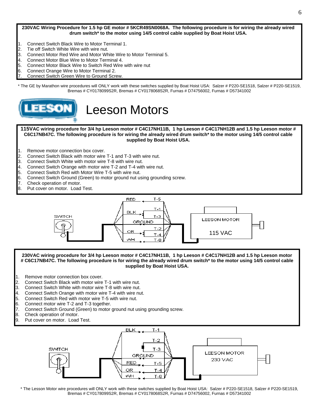**230VAC Wiring Procedure for 1.5 hp GE motor # 5KCR49SN0068A. The following procedure is for wiring the already wired drum switch\* to the motor using 14/5 control cable supplied by Boat Hoist USA.**

- 1. Connect Switch Black Wire to Motor Terminal 1.
- 2. Tie off Switch White Wire with wire nut.
- 3. Connect Motor Red Wire and Motor White Wire to Motor Terminal 5.
- 4. Connect Motor Blue Wire to Motor Terminal 4.
- 5. Connect Motor Black Wire to Switch Red Wire with wire nut
- 6. Connect Orange Wire to Motor Terminal 2.
- 7. Connect Switch Green Wire to Ground Screw.

\* The GE by Marathon wire procedures will ONLY work with these switches supplied by Boat Hoist USA: Salzer # P220-SE1518, Salzer # P220-SE1519, Bremas # CY0178099S2R, Bremas # CY0178068S2R, Furnas # D74756002, Furnas # D57341002



# Leeson Motors

**115VAC wiring procedure for 3/4 hp Leeson motor # C4C17NH11B, 1 hp Leeson # C4C17NH12B and 1.5 hp Leeson motor # C6C17NB47C. The following procedure is for wiring the already wired drum switch\* to the motor using 14/5 control cable supplied by Boat Hoist USA.**

- 1. Remove motor connection box cover.
- 2. Connect Switch Black with motor wire T-1 and T-3 with wire nut.
- 3. Connect Switch White with motor wire T-8 with wire nut.
- 4. Connect Switch Orange with motor wire T-2 and T-4 with wire nut.
- 5. Connect Switch Red with Motor Wire T-5 with wire nut.
- 6. Connect Switch Ground (Green) to motor ground nut using grounding screw.
- 7. Check operation of motor.
- 8. Put cover on motor. Load Test.



#### **230VAC wiring procedure for 3/4 hp Leeson motor # C4C17NH11B, 1 hp Leeson # C4C17NH12B and 1.5 hp Leeson motor # C6C17NB47C. The following procedure is for wiring the already wired drum switch\* to the motor using 14/5 control cable supplied by Boat Hoist USA.**

- 1. Remove motor connection box cover.
- 2. Connect Switch Black with motor wire T-1 with wire nut.
- 3. Connect Switch White with motor wire T-8 with wire nut.
- 4. Connect Switch Orange with motor wire T-4 with wire nut.
- 5. Connect Switch Red with motor wire T-5 with wire nut.
- 6. Connect motor wire T-2 and T-3 together.
- 7. Connect Switch Ground (Green) to motor ground nut using grounding screw.
- 8. Check operation of motor.
- 9. Put cover on motor. Load Test.



\* The Lesson Motor wire procedures will ONLY work with these switches supplied by Boat Hoist USA: Salzer # P220-SE1518, Salzer # P220-SE1519, Bremas # CY0178099S2R, Bremas # CY0178068S2R, Furnas # D74756002, Furnas # D57341002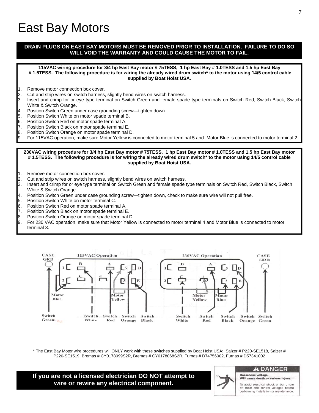# East Bay Motors

### **DRAIN PLUGS ON EAST BAY MOTORS MUST BE REMOVED PRIOR TO INSTALLATION. FAILURE TO DO SO WILL VOID THE WARRANTY AND COULD CAUSE THE MOTOR TO FAIL.**

**115VAC wiring procedure for 3/4 hp East Bay motor # 75TESS, 1 hp East Bay # 1.0TESS and 1.5 hp East Bay # 1.5TESS. The following procedure is for wiring the already wired drum switch\* to the motor using 14/5 control cable supplied by Boat Hoist USA.**

- 1. Remove motor connection box cover.
- 2. Cut and strip wires on switch harness, slightly bend wires on switch harness.
- 3. Insert and crimp for or eye type terminal on Switch Green and female spade type terminals on Switch Red, Switch Black, Switch White & Switch Orange.
- 4. Position Switch Green under case grounding screw—tighten down.
- 5. Position Switch White on motor spade terminal B.
- 6. Position Switch Red on motor spade terminal A.
- 7. Position Switch Black on motor spade terminal E.
- 8. Position Switch Orange on motor spade terminal D.
- 9. For 115VAC operation, make sure Motor Yellow is connected to motor terminal 5 and Motor Blue is connected to motor terminal 2.

#### **230VAC wiring procedure for 3/4 hp East Bay motor # 75TESS, 1 hp East Bay motor # 1.0TESS and 1.5 hp East Bay motor # 1.5TESS. The following procedure is for wiring the already wired drum switch\* to the motor using 14/5 control cable supplied by Boat Hoist USA.**

- 1. Remove motor connection box cover.
- 2. Cut and strip wires on switch harness, slightly bend wires on switch harness.
- 3. Insert and crimp for or eye type terminal on Switch Green and female spade type terminals on Switch Red, Switch Black, Switch White & Switch Orange.
- 4. Position Switch Green under case grounding screw—tighten down, check to make sure wire will not pull free.
- 5. Position Switch White on motor terminal C.
- 
- 6. Position Switch Red on motor spade terminal A.<br><sup>1</sup>7 Position Switch Black on motor spade terminal E Position Switch Black on motor spade terminal E.
- 8. Position Switch Orange on motor spade terminal D.
- 9. For 230 VAC operation, make sure that Motor Yellow is connected to motor terminal 4 and Motor Blue is connected to motor terminal 3.



\* The East Bay Motor wire procedures will ONLY work with these switches supplied by Boat Hoist USA: Salzer # P220-SE1518, Salzer # P220-SE1519, Bremas # CY0178099S2R, Bremas # CY0178068S2R, Furnas # D74756002, Furnas # D57341002

**If you are not a licensed electrician DO NOT attempt to wire or rewire any electrical component.** 

#### $\mathbf A$  DANGER

**Hazardous** voltage Will cause death or serious injury.

To avoid electrical shock or burn, turn off main and control voltages before performing installation or maintenance.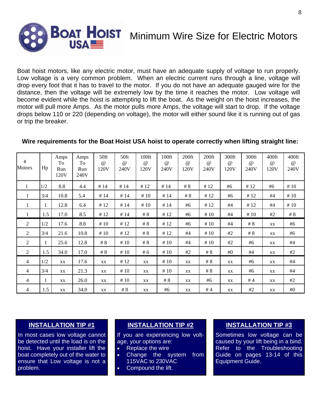

**BOAT HOIST** Minimum Wire Size for Electric Motors

Boat hoist motors, like any electric motor, must have an adequate supply of voltage to run properly. Low voltage is a very common problem. When an electric current runs through a line, voltage will drop every foot that it has to travel to the motor. If you do not have an adequate gauged wire for the distance, then the voltage will be extremely low by the time it reaches the motor. Low voltage will become evident while the hoist is attempting to lift the boat. As the weight on the hoist increases, the motor will pull more Amps. As the motor pulls more Amps, the voltage will start to drop. If the voltage drops below 110 or 220 (depending on voltage), the motor will either sound like it is running out of gas or trip the breaker.

# **Wire requirements for the Boat Hoist USA hoist to operate correctly when lifting straight line:**

| #<br><b>Motors</b> | Hp  | Amps<br>To<br>Run<br>120V | Amps<br>To<br>Run<br>240V | 50ft<br>$\omega$<br>120V | 50ft<br>$\omega$<br>240V | $100$ ft<br>$\omega$<br>120V | $100$ ft<br>$\omega$<br>240V | $200$ ft<br>$\omega$<br>120V | $200$ ft<br>$\omega$<br>240V | 300ft<br>$\omega$<br>120V | 300ft<br>$\omega$<br>240V | 400ft<br>$\omega$<br>120V | 400ft<br>$\omega$<br>240V |
|--------------------|-----|---------------------------|---------------------------|--------------------------|--------------------------|------------------------------|------------------------------|------------------------------|------------------------------|---------------------------|---------------------------|---------------------------|---------------------------|
| 1                  | 1/2 | 8.8                       | 4.4                       | #14                      | #14                      | #12                          | #14                          | #8                           | #12                          | #6                        | #12                       | #6                        | #10                       |
| $\perp$            | 3/4 | 10.8                      | 5.4                       | #14                      | #14                      | #10                          | #14                          | $\#$ 8                       | #12                          | #6                        | #12                       | #4                        | #10                       |
| 1                  |     | 12.8                      | 6.4                       | #12                      | #14                      | #10                          | #14                          | #6                           | #12                          | #4                        | #12                       | #4                        | #10                       |
| 1                  | 1.5 | 17.0                      | 8.5                       | #12                      | #14                      | # $8$                        | #12                          | #6                           | #10                          | #4                        | #10                       | #2                        | # $8$                     |
| $\overline{c}$     | 1/2 | 17.6                      | 8.8                       | #10                      | #12                      | # $8$                        | #12                          | #6                           | #10                          | #4                        | $\#$ 8                    | XX                        | #6                        |
| 2                  | 3/4 | 21.6                      | 10.8                      | #10                      | #12                      | # $8$                        | #12                          | #4                           | #10                          | #2                        | # 8                       | XX                        | #6                        |
| 2                  |     | 25.6                      | 12.8                      | # $8$                    | #10                      | # $8$                        | #10                          | #4                           | #10                          | #2                        | #6                        | XX                        | #4                        |
| 2                  | 1.5 | 34.0                      | 17.0                      | # 8                      | #10                      | #6                           | #10                          | #2                           | # $8$                        | #0                        | #4                        | XX                        | #2                        |
| $\overline{4}$     | 1/2 | XX                        | 17.6                      | XX                       | #12                      | XX                           | #10                          | XX                           | # $8$                        | XX                        | #6                        | XX                        | #4                        |
| 4                  | 3/4 | XX                        | 21.3                      | XX                       | #10                      | XX                           | #10                          | XX                           | $\#$ 8                       | XX                        | #6                        | XX                        | #4                        |
| 4                  | 1   | XX                        | 26.0                      | XX                       | #10                      | XX                           | # $8$                        | XX                           | #6                           | XX                        | #4                        | XX                        | #2                        |
| 4                  | 1.5 | XX                        | 34.0                      | XX                       | # 8                      | XX                           | #6                           | XX                           | #4                           | XX                        | #2                        | XX                        | #0                        |

# **INSTALLATION TIP #1**

In most cases low voltage cannot be detected until the load is on the hoist. Have your installer lift the boat completely out of the water to ensure that Low voltage is not a problem.

### **INSTALLATION TIP #2**

If you are experiencing low voltage, your options are:

- Replace the wire
- Change the system from 115VAC to 230VAC
- Compound the lift.

### **INSTALLATION TIP #3**

Sometimes low voltage can be caused by your lift being in a bind. Refer to the Troubleshooting Guide on pages 13-14 of this Equipment Guide.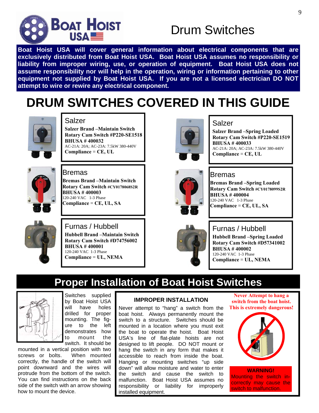

# Drum Switches

**Boat Hoist USA will cover general information about electrical components that are exclusively distributed from Boat Hoist USA. Boat Hoist USA assumes no responsibility or liability from improper wiring, use, or operation of equipment. Boat Hoist USA does not assume responsibility nor will help in the operation, wiring or information pertaining to other equipment not supplied by Boat Hoist USA. If you are not a licensed electrician DO NOT attempt to wire or rewire any electrical component.** 

# **DRUM SWITCHES COVERED IN THIS GUIDE**



### Salzer

**Salzer Brand –Maintain Switch Rotary Cam Switch #P220-SE1518 BHUSA # 400032**  AC-21A: 20A; AC-23A: 7.5kW 380-440V **Compliance** = **CE, UL** 



### Bremas

**Bremas Brand –Maintain Switch Rotary Cam Switch #CY0178068S2R BHUSA # 400003**  120-240 VAC 1-3 Phase **Compliance** = **CE, UL, SA** 



# Furnas / Hubbell

**Hubbell Brand –Maintain Switch Rotary Cam Switch #D74756002 BHUSA # 400001**  120-240 VAC 1-3 Phase **Compliance** = **UL, NEMA** 



### Salzer

**Salzer Brand –Spring Loaded Rotary Cam Switch #P220-SE1519 BHUSA # 400033**  AC-21A: 20A; AC-23A: 7.5kW 380-440V **Compliance** = **CE, UL** 



### Bremas

**Bremas Brand –Spring Loaded Rotary Cam Switch #CY0178099S2R BHUSA # 400004**  120-240 VAC 1-3 Phase **Compliance** = **CE, UL, SA** 



### Furnas / Hubbell

**Hubbell Brand –Spring Loaded Rotary Cam Switch #D57341002 BHUSA # 400002**  120-240 VAC 1-3 Phase **Compliance** = **UL, NEMA** 

# **Proper Installation of Boat Hoist Switches**



Switches supplied by Boat Hoist USA will have holes drilled for proper mounting. The figure to the left demonstrates how to mount the switch. It should be

mounted in a vertical position with two screws or bolts. When mounted correctly, the handle of the switch will point downward and the wires will protrude from the bottom of the switch. You can find instructions on the back side of the switch with an arrow showing how to mount the device.

### **IMPROPER INSTALLATION**

Never attempt to "hang" a switch from the boat hoist. Always permanently mount the switch to a structure. Switches should be mounted in a location where you must exit the boat to operate the hoist. Boat Hoist USA's line of flat-plate hoists are not designed to lift people. DO NOT mount or hang the switch in any form that makes it accessible to reach from inside the boat. Hanging or mounting switches "up side down" will allow moisture and water to enter the switch and cause the switch to malfunction. Boat Hoist USA assumes no responsibility or liability for improperly installed equipment.

**Never Attempt to hang a switch from the boat hoist. This is extremely dangerous!** 



**WARNING!**  Mounting the switch incorrectly may cause the switch to malfunction.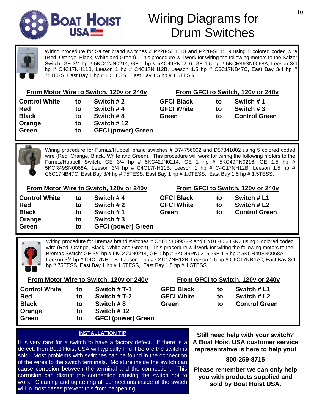

# Wiring Diagrams for Drum Switches

Wiring procedure for Salzer brand switches # P220-SE1518 and P220-SE1519 using 5 colored coded wire (Red, Orange, Black, White and Green). This procedure will work for wiring the following motors to the Salzer Switch: GE 3/4 hp # 5KC42JN0214, GE 1 hp # 5KC49PN0216, GE 1.5 hp # 5KCR49SN0068A, Leeson 3/4 hp # C4C17NH11B, Leeson 1 hp # C4C17NH12B, Leeson 1.5 hp # C6C17NB47C, East Bay 3/4 hp # 75TESS, East Bay 1 hp # 1.0TESS, East Bay 1.5 hp # 1.5TESS.

|  | From Motor Wire to Switch, 120v or 240v |  |
|--|-----------------------------------------|--|
|  |                                         |  |

| Switch $#2$                |
|----------------------------|
| Switch #4                  |
| Switch #8                  |
| Switch #12                 |
| <b>GFCI (power) Green</b>  |
| to<br>to<br>to<br>to<br>to |

| From GFCI to Switch, 120v or 240v |    |                      |  |  |  |  |  |
|-----------------------------------|----|----------------------|--|--|--|--|--|
| <b>GFCI Black</b>                 | tο | Switch #1            |  |  |  |  |  |
| <b>GFCI White</b>                 | tο | Switch #3            |  |  |  |  |  |
| Green                             | t٥ | <b>Control Green</b> |  |  |  |  |  |

Wiring procedure for Furnas/Hubbell brand switches # D74756002 and D57341002 using 5 colored coded wire (Red, Orange, Black, White and Green). This procedure will work for wiring the following motors to the Furnas/Hubbell Switch: GE 3/4 hp # 5KC42JN0214, GE 1 hp # 5KC49PN0216, GE 1.5 hp # 5KCR49SN0068A, Leeson 3/4 hp # C4C17NH11B, Leeson 1 hp # C4C17NH12B, Leeson 1.5 hp # C6C17NB47C, East Bay 3/4 hp # 75TESS, East Bay 1 hp # 1.0TESS, East Bay 1.5 hp # 1.5TESS.

| From Motor Wire to Switch, 120v or 240v |    |                           | From GFCI to Switch, 120v or 240v |    |                      |  |
|-----------------------------------------|----|---------------------------|-----------------------------------|----|----------------------|--|
| <b>Control White</b>                    | to | Switch #4                 | <b>GFCI Black</b>                 | to | Switch # L1          |  |
| Red                                     | to | Switch $#2$               | <b>GFCI White</b>                 | to | Switch # L2          |  |
| <b>Black</b>                            | to | Switch #1                 | Green                             | to | <b>Control Green</b> |  |
| Orange                                  | to | Switch $#3$               |                                   |    |                      |  |
| Green                                   | to | <b>GFCI (power) Green</b> |                                   |    |                      |  |

Wiring procedure for Bremas brand switches # CY0178099S2R and CY0178068SR2 using 5 colored coded wire (Red, Orange, Black, White and Green). This procedure will work for wiring the following motors to the Bremas Switch: GE 3/4 hp # 5KC42JN0214, GE 1 hp # 5KC49PN0216, GE 1.5 hp # 5KCR49SN0068A, Leeson 3/4 hp # C4C17NH11B, Leeson 1 hp # C4C17NH12B, Leeson 1.5 hp # C6C17NB47C, East Bay 3/4 hp # 75TESS, East Bay 1 hp # 1.0TESS, East Bay 1.5 hp # 1.5TESS.

# **From Motor Wire to Switch, 120v or 240v Control White to Switch # T-1**

| ----------   |    | -----------               |
|--------------|----|---------------------------|
| <b>Red</b>   | to | Switch #T-2               |
| <b>Black</b> | to | Switch #8                 |
| Orange       | to | Switch #12                |
| Green        | to | <b>GFCI (power) Green</b> |
|              |    |                           |

|  | From GFCI to Switch, 120v or 240v |  |  |
|--|-----------------------------------|--|--|
|  |                                   |  |  |

| <b>GFCI Black</b> | tΟ | Switch # L1          |
|-------------------|----|----------------------|
| <b>GFCI White</b> | tΟ | Switch # L2          |
| Green             | tΟ | <b>Control Green</b> |

### **INSTALLATION TIP**

It is very rare for a switch to have a factory defect. If there is a defect, then Boat Hoist USA will typically find it before the switch is sold. Most problems with switches can be found in the connection of the wires to the switch terminals. Moisture inside the switch can cause corrosion between the terminal and the connection. This corrosion can disrupt the connection causing the switch not to work. Cleaning and tightening all connections inside of the switch will in most cases prevent this from happening.

**Still need help with your switch? A Boat Hoist USA customer service representative is here to help you!** 

**800-259-8715** 

**Please remember we can only help you with products supplied and sold by Boat Hoist USA.**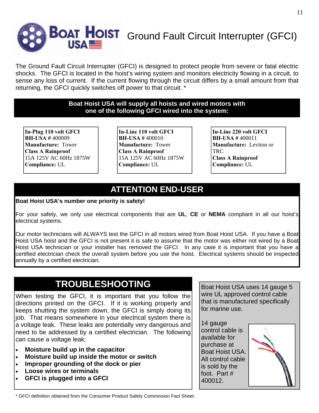

The Ground Fault Circuit Interrupter (GFCI) is designed to protect people from severe or fatal electric shocks. The GFCI is located in the hoist's wiring system and monitors electricity flowing in a circuit, to sense any loss of current. If the current flowing through the circuit differs by a small amount from that returning, the GFCI quickly switches off power to that circuit. \*

### **Boat Hoist USA will supply all hoists and wired motors with one of the following GFCI wired into the system:**

**In-Plug 110 volt GFCI BH-USA #** 400009 **Manufacture:** Tower **Class A Rainproof**  15A 125V AC 60Hz 1875W **Compliance:** UL

**In-Line 110 volt GFCI BH-USA #** 400010 **Manufacture:** Tower **Class A Rainproof**  15A 125V AC 60Hz 1875W **Compliance:** UL

**In-Line 220 volt GFCI BH-USA #** 400011 **Manufacture:** Leviton or **TRC Class A Rainproof Compliance:** UL

# **ATTENTION END-USER**

### **Boat Hoist USA's number one priority is safety!**

For your safety, we only use electrical components that are **UL**, **CE** or **NEMA** compliant in all our hoist's electrical systems.

Our motor technicians will ALWAYS test the GFCI in all motors wired from Boat Hoist USA. If you have a Boat Hoist USA hoist and the GFCI is not present it is safe to assume that the motor was either not wired by a Boat Hoist USA technician or your installer has removed the GFCI. In any case it is important that you have a certified electrician check the overall system before you use the hoist. Electrical systems should be inspected annually by a certified electrician.

# **TROUBLESHOOTING**

When testing the GFCI, it is important that you follow the directions printed on the GFCI. If it is working properly and keeps shutting the system down, the GFCI is simply doing its job. That means somewhere in your electrical system there is a voltage leak. These leaks are potentially very dangerous and need to be addressed by a certified electrician. The following can cause a voltage leak:

- **Moisture build up in the capacitor**
- **Moisture build up inside the motor or switch**
- **Improper grounding of the dock or pier**
- **Loose wires or terminals**
- **GFCI is plugged into a GFCI**

Boat Hoist USA uses 14 gauge 5 wire UL approved control cable that is manufactured specifically for marine use.

14 gauge control cable is available for purchase at Boat Hoist USA. All control cable is sold by the foot. Part # 400012.



<sup>\*</sup> GFCI definition obtained from the Consumer Product Safety Commission Fact Sheet.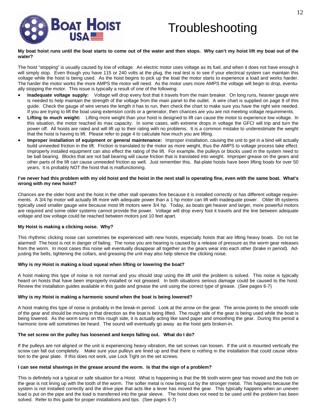

# **Troubleshooting**

#### **My boat hoist runs until the boat starts to come out of the water and then stops. Why can't my hoist lift my boat out of the water?**

The hoist "stopping" is usually caused by low of voltage. An electric motor uses voltage as its fuel, and when it does not have enough it will simply stop. Even though you have 115 or 240 volts at the plug, the real test is to see if your electrical system can maintain this voltage while the hoist is being used. As the hoist begins to pick up the boat the motor starts to experience a load and works harder. The harder the motor works the more AMPS the motor will need. As the motor uses more AMPS the voltage will begin to drop, eventually stopping the motor. This issue is typically a result of one of the following:

- **Inadequate voltage supply:** Voltage will drop every foot that it travels from the main breaker. On long runs, heavier gauge wire is needed to help maintain the strength of the voltage from the main panel to the outlet. A wire chart is supplied on page 8 of this guide. Check the gauge of wire verses the length it has to run, then check the chart to make sure you have the right wire needed. If you are trying to lift the boat using extension cords or a generator, then chances are you are not meeting voltage requirements.
- **Lifting to much weight:** Lifting more weight than your hoist is designed to lift can cause the motor to experience low voltage. In this situation, the motor reached its max capacity. In some cases, with extreme drops in voltage the GFCI will trip and turn the power off. All hoists are rated and will lift up to their rating with no problems. It is a common mistake to underestimate the weight that the hoist is having to lift. Please refer to page 4 to calculate how much you are lifting.
- **Improper installation of equipment or general maintenance:** Improper installation, causing the unit to get in a bind will actually build unneeded friction in the lift. Friction is translated to the motor as more weight, thus the AMPS to voltage process take effect. Improperly installed equipment can also effect the rating of the lift. For example, the pulleys or blocks used in the system need to be ball bearing. Blocks that are not ball bearing will cause friction that is translated into weight. Improper grease on the gears and other parts of the lift can cause unneeded friction as well. Just remember this, flat-plate hoists have been lifting boats for over 50 years, it is probably NOT the hoist that is malfunctioning.

#### **I've never had this problem with my old hoist and the hoist in the next stall is operating fine, even with the same boat. What's wrong with my new hoist?**

Chances are the older hoist and the hoist in the other stall operates fine because it is installed correctly or has different voltage requirements. A 3/4 hp motor will actually lift more with adequate power than a 1 hp motor can lift with inadequate power. Older lift systems typically used smaller gauge wire because most lift motors were 3/4 hp. Today, as boats get heaver and larger, more powerful motors are required and some older systems cannot provide the power. Voltage will drop every foot it travels and the line between adequate voltage and low voltage could be reached between motors just 10 feet apart.

### **My Hoist is making a clicking noise. Why?**

This rhythmic clicking noise can sometimes be experienced with new hoists, especially hoists that are lifting heavy boats. Do not be alarmed! The hoist is not in danger of failing. The noise you are hearing is caused by a release of pressure as the worm gear releases from the worm. In most cases this noise will eventually disappear all together as the gears wear into each other (brake in period). Adjusting the belts, tightening the collars, and greasing the unit may also help silence the clicking noise.

### **Why is my Hoist is making a loud squeal when lifting or lowering the boat?**

A hoist making this type of noise is not normal and you should stop using the lift until the problem is solved. This noise is typically heard on hoists that have been improperly installed or not greased. In both situations serious damage could be caused to the hoist. Review the installation guides available in this guide and grease the unit using the correct type of grease. (See pages 6-7)

### **Why is my Hoist is making a harmonic sound when the boat is being lowered?**

A hoist making this type of noise is probably in the break-in period. Look at the arrow on the gear. The arrow points to the smooth side of the gear and should be moving in that direction as the boat is being lifted. The rough side of the gear is being used while the boat is being lowered. As the worm turns on this rough side, it is actually acting like sand paper and smoothing the gear. During this period a harmonic tone will sometimes be heard. The sound will eventually go away as the hoist gets broken-in.

### **The set screw on the pulley has loosened and keeps falling out. What do I do?**

If the pulleys are not aligned or the unit is experiencing heavy vibration, the set screws can loosen. If the unit is mounted vertically the screw can fall out completely. Make sure your pulleys are lined up and that there is nothing in the installation that could cause vibration to the gear plate. If this does not work, use Lock Tight on the set screws.

### **I can see metal shavings in the grease around the worm. Is that the sign of a problem?**

This is definitely not a typical or safe situation for a Hoist. What is happening is that the 96 tooth worm gear has moved and the hob on the gear is not lining up with the tooth of the worm. The softer metal is now being cut by the stronger metal. This happens because the system is not installed correctly and the drive pipe that acts like a lever has moved the gear. This typically happens when an uneven load is put on the pipe and the load is transferred into the gear sleeve. The hoist does not need to be used until the problem has been solved. Refer to this guide for proper installations and tips. (See pages 6-7)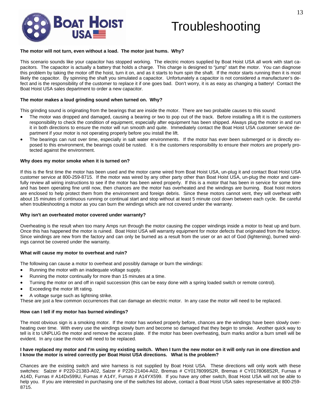

# **Troubleshooting**

#### **The motor will not turn, even without a load. The motor just hums. Why?**

This scenario sounds like your capacitor has stopped working. The electric motors supplied by Boat Hoist USA all work with start capacitors. The capacitor is actually a battery that holds a charge. This charge is designed to "jump" start the motor. You can diagnose this problem by taking the motor off the hoist, turn it on, and as it starts to hum spin the shaft. If the motor starts running then it is most likely the capacitor. By spinning the shaft you simulated a capacitor. Unfortunately a capacitor is not considered a manufacturer's defect and is the responsibility of the customer to replace it if one goes bad. Don't worry, it is as easy as changing a battery! Contact the Boat Hoist USA sales department to order a new capacitor.

#### **The motor makes a loud grinding sound when turned on. Why?**

This grinding sound is originating from the bearings that are inside the motor. There are two probable causes to this sound:

- The motor was dropped and damaged, causing a bearing or two to pop out of the track. Before installing a lift it is the customers responsibility to check the condition of equipment, especially after equipment has been shipped. Always plug the motor in and run it in both directions to ensure the motor will run smooth and quite. Immediately contact the Boat Hoist USA customer service department if your motor is not operating properly before you install the lift.
- The bearings can rust over time, especially in salt water environments. If the motor has ever been submerged or is directly exposed to this environment, the bearings could be rusted. It is the customers responsibility to ensure their motors are properly protected against the environment.

#### **Why does my motor smoke when it is turned on?**

If this is the first time the motor has been used and the motor came wired from Boat Hoist USA, un-plug it and contact Boat Hoist USA customer service at 800-259-8715. If the motor was wired by any other party other than Boat Hoist USA, un-plug the motor and carefully review all wiring instructions to see if the motor has been wired properly. If this is a motor that has been in service for some time and has been operating fine until now, then chances are the motor has overheated and the windings are burning. Boat hoist motors are enclosed to help protect them from the environment and foreign debris. Since these motors cannot vent, they will overheat with about 15 minutes of continuous running or continual start and stop without at least 5 minute cool down between each cycle. Be careful when troubleshooting a motor as you can burn the windings which are not covered under the warranty.

### **Why isn't an overheated motor covered under warranty?**

Overheating is the result when too many Amps run through the motor causing the copper windings inside a motor to heat up and burn. Once this has happened the motor is ruined. Boat Hoist USA will warranty equipment for motor defects that originated from the factory. Since windings are new from the factory and can only be burned as a result from the user or an act of God (lightening), burned windings cannot be covered under the warranty.

### **What will cause my motor to overheat and ruin?**

The following can cause a motor to overheat and possibly damage or burn the windings:

- Running the motor with an inadequate voltage supply.
- Running the motor continually for more than 15 minutes at a time.
- Turning the motor on and off in rapid succession (this can be easy done with a spring loaded switch or remote control).
- Exceeding the motor lift rating.
- A voltage surge such as lightning strike.

These are just a few common occurrences that can damage an electric motor. In any case the motor will need to be replaced.

### **How can I tell if my motor has burned windings?**

The most obvious sign is a smoking motor. If the motor has worked properly before, chances are the windings have been slowly overheating over time. With every use the windings slowly burn and become so damaged that they begin to smoke. Another quick way to tell is it to UNPLUG the motor and remove the access plate. If the motor has been overheating, burn marks and/or a burn smell will be evident. In any case the motor will need to be replaced.

#### **I have replaced my motor and I'm using my existing switch. When I turn the new motor on it will only run in one direction and I know the motor is wired correctly per Boat Hoist USA directions. What is the problem?**

Chances are the existing switch and wire harness is not supplied by Boat Hoist USA. These directions will only work with these switches: Salzer # P220-21383-A02, Salzer # P220-21404-A02, Bremas # CY0178099S2R, Bremas # CY0178068S2R, Furnas # A14D, Furnas # A14Dx599U, Furnas # A14Y, Furnas # A14YX599. If you have any other switch, Boat Hoist USA will not be able to help you. If you are interested in purchasing one of the switches list above, contact a Boat Hoist USA sales representative at 800-259- 8715.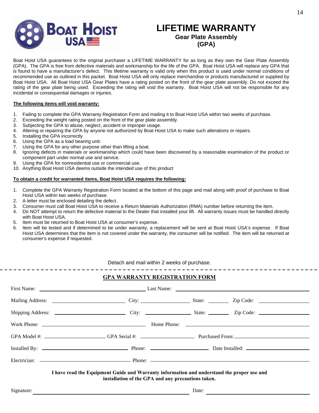

# **LIFETIME WARRANTY Gear Plate Assembly (GPA)**

Boat Hoist USA guarantees to the original purchaser a LIFETIME WARRANTY for as long as they own the Gear Plate Assembly (GPA). The GPA is free from defective materials and workmanship for the life of the GPA. Boat Hoist USA will replace any GPA that is found to have a manufacturer's defect. This lifetime warranty is valid only when this product is used under normal conditions of recommended use as outlined in this packet. Boat Hoist USA will only replace merchandise or products manufactured or supplied by Boat Hoist USA. All Boat Hoist USA Gear Plates have a rating posted on the front of the gear plate assembly. Do not exceed the rating of the gear plate being used. Exceeding the rating will void the warranty. Boat Hoist USA will not be responsible for any incidental or consequential damages or injuries.

### **The following items will void warranty:**

- 1. Failing to complete the GPA Warranty Registration Form and mailing it to Boat Hoist USA within two weeks of purchase.
- 2. Exceeding the weight rating posted on the front of the gear plate assembly.
- 3. Subjecting the GPA to abuse, neglect, accident or improper usage.
- 4. Altering or repairing the GPA by anyone not authorized by Boat Hoist USA to make such alterations or repairs.
- 5. Installing the GPA incorrectly
- 6. Using the GPA as a load bearing unit.
- 7. Using the GPA for any other purpose other than lifting a boat.
- 8. Ignoring defects in materials or workmanship which could have been discovered by a reasonable examination of the product or component part under normal use and service.
- 9. Using the GPA for nonresidential use or commercial use.
- 10. Anything Boat Hoist USA deems outside the intended use of this product

### **To obtain a credit for warranted items, Boat Hoist USA requires the following:**

- 1. Complete the GPA Warranty Registration Form located at the bottom of this page and mail along with proof of purchase to Boat Hoist USA within two weeks of purchase.
- 
- 2. A letter must be enclosed detailing the defect.<br>3. Consumer must call Boat Hoist USA to receive a Return Materials Authorization (RMA) number before returning the item. 3. Consumer must call Boat Hoist USA to receive a Return Materials Authorization (RMA) number before returning the item.
- 4. Do NOT attempt to return the defective material to the Dealer that installed your lift. All warranty issues must be handled directly with Boat Hoist USA.
- 5. Item must be returned to Boat Hoist USA at consumer's expense.
- 6. Item will be tested and if determined to be under warranty, a replacement will be sent at Boat Hoist USA's expense. If Boat Hoist USA determines that the item is not covered under the warranty, the consumer will be notified. The item will be returned at consumer's expense if requested.

### Detach and mail within 2 weeks of purchase.

### **GPA WARRANTY REGISTRATION FORM**

| I have read the Equipment Guide and Warranty information and understand the proper use and<br>installation of the GPA and any precautions taken. |  |  |
|--------------------------------------------------------------------------------------------------------------------------------------------------|--|--|